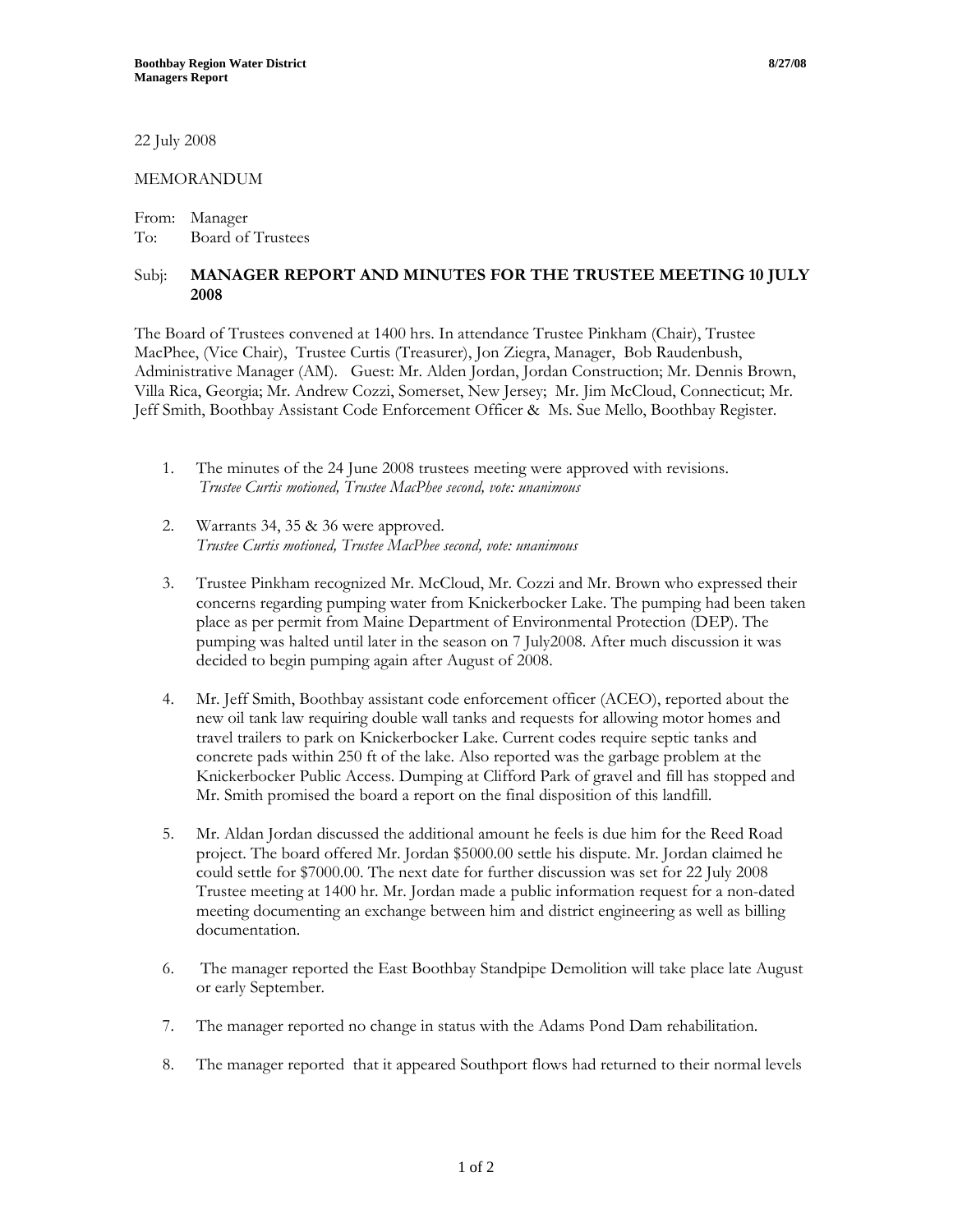22 July 2008

## MEMORANDUM

From: Manager To: Board of Trustees

## Subj: **MANAGER REPORT AND MINUTES FOR THE TRUSTEE MEETING 10 JULY 2008**

The Board of Trustees convened at 1400 hrs. In attendance Trustee Pinkham (Chair), Trustee MacPhee, (Vice Chair), Trustee Curtis (Treasurer), Jon Ziegra, Manager, Bob Raudenbush, Administrative Manager (AM). Guest: Mr. Alden Jordan, Jordan Construction; Mr. Dennis Brown, Villa Rica, Georgia; Mr. Andrew Cozzi, Somerset, New Jersey; Mr. Jim McCloud, Connecticut; Mr. Jeff Smith, Boothbay Assistant Code Enforcement Officer & Ms. Sue Mello, Boothbay Register.

- 1. The minutes of the 24 June 2008 trustees meeting were approved with revisions. *Trustee Curtis motioned, Trustee MacPhee second, vote: unanimous*
- 2. Warrants 34, 35 & 36 were approved. *Trustee Curtis motioned, Trustee MacPhee second, vote: unanimous*
- 3. Trustee Pinkham recognized Mr. McCloud, Mr. Cozzi and Mr. Brown who expressed their concerns regarding pumping water from Knickerbocker Lake. The pumping had been taken place as per permit from Maine Department of Environmental Protection (DEP). The pumping was halted until later in the season on 7 July2008. After much discussion it was decided to begin pumping again after August of 2008.
- 4. Mr. Jeff Smith, Boothbay assistant code enforcement officer (ACEO), reported about the new oil tank law requiring double wall tanks and requests for allowing motor homes and travel trailers to park on Knickerbocker Lake. Current codes require septic tanks and concrete pads within 250 ft of the lake. Also reported was the garbage problem at the Knickerbocker Public Access. Dumping at Clifford Park of gravel and fill has stopped and Mr. Smith promised the board a report on the final disposition of this landfill.
- 5. Mr. Aldan Jordan discussed the additional amount he feels is due him for the Reed Road project. The board offered Mr. Jordan \$5000.00 settle his dispute. Mr. Jordan claimed he could settle for \$7000.00. The next date for further discussion was set for 22 July 2008 Trustee meeting at 1400 hr. Mr. Jordan made a public information request for a non-dated meeting documenting an exchange between him and district engineering as well as billing documentation.
- 6. The manager reported the East Boothbay Standpipe Demolition will take place late August or early September.
- 7. The manager reported no change in status with the Adams Pond Dam rehabilitation.
- 8. The manager reported that it appeared Southport flows had returned to their normal levels